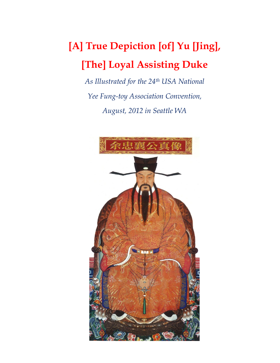## **[A] True Depiction [of] Yu [Jing], [The] Loyal Assisting Duke**

*As Illustrated for the 24th USA National Yee Fung-toy Association Convention, August, 2012 in Seattle WA*

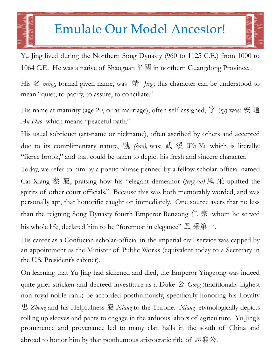## Emulate Our Model Ancestor!

Yu Jing lived during the Northern Song Dynasty (960 to 1125 C.E.) from 1000 to 1064 C.E. He was a native of Shaoguan 韶關 in northern Guangdong Province.

His 名 *ming*, formal given name, was 靖 *Jing*; this character can be understood to mean "quiet, to pacify, to assure, to conciliate."

His name at maturity (age 20, or at marriage), often self-assigned, 字 (*zi*) was: 安 道 *An Dao* which means "peaceful path."

His usual sobriquet (art-name or nickname), often ascribed by others and accepted due to its complimentary nature, 號 *(hao),* was: 武 溪 *Wu Xi*, which is literally: "fierce brook," and that could be taken to depict his fresh and sincere character.

Today, we refer to him by a poetic phrase penned by a fellow scholar-official named Cai Xiang 蔡 襄, praising how his "elegant demeanor (*feng cai)* 風 采 uplifted the spirits of other court officials." Because this was both memorably worded, and was personally apt, that honorific caught on immediately. One source avers that no less than the reigning Song Dynasty fourth Emperor Renzong 仁 宗, whom he served his whole life, declared him to be "foremost in elegance" 風 采第一.

His career as a Confucian scholar-official in the imperial civil service was capped by an appointment as the Minister of Public Works (equivalent today to a Secretary in the U.S. President's cabinet).

On learning that Yu Jing had sickened and died, the Emperor Yingzong was indeed quite grief-stricken and decreed investiture as a Duke 公 *Gong* (traditionally highest non-royal noble rank) be accorded posthumously, specifically honoring his Loyalty 忠 *Zhong* and his Helpfulness 襄 *Xiang* to the Throne. *Xiang* etymologically depicts rolling up sleeves and pants to engage in the arduous labors of agriculture. Yu Jing's prominence and provenance led to many clan halls in the south of China and abroad to honor him by that posthumous aristocratic title of 忠襄公.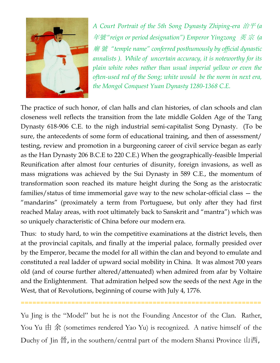

*A Court Portrait of the 5th Song Dynasty Zhiping-era* 治平 *(a*  年號*"reign or period designation") Emperor Yingzong* 英 宗 *(a*  廟 號 *"temple name" conferred posthumously by official dynastic annalists ). While of uncertain accuracy, it is noteworthy for its plain white robes rather than usual imperial yellow or even the often-used red of the Song; white would be the norm in next era, the Mongol Conquest Yuan Dynasty 1280-1368 C.E.*

The practice of such honor, of clan halls and clan histories, of clan schools and clan closeness well reflects the transition from the late middle Golden Age of the Tang Dynasty 618-906 C.E. to the nigh industrial semi-capitalist Song Dynasty. (To be sure, the antecedents of some form of educational training, and then of assessment/ testing, review and promotion in a burgeoning career of civil service began as early as the Han Dynasty 206 B.C.E to 220 C.E.) When the geographically-feasible Imperial Reunification after almost four centuries of disunity, foreign invasions, as well as mass migrations was achieved by the Sui Dynasty in 589 C.E., the momentum of transformation soon reached its mature height during the Song as the aristocratic families/status of time immemorial gave way to the new scholar-official class — the "mandarins" (proximately a term from Portuguese, but only after they had first reached Malay areas, with root ultimately back to Sanskrit and "mantra") which was so uniquely characteristic of China before our modern era.

Thus: to study hard, to win the competitive examinations at the district levels, then at the provincial capitals, and finally at the imperial palace, formally presided over by the Emperor, became the model for all within the clan and beyond to emulate and constituted a real ladder of upward social mobility in China. It was almost 700 years old (and of course further altered/attenuated) when admired from afar by Voltaire and the Enlightenment. That admiration helped sow the seeds of the next Age in the West, that of Revolutions, beginning of course with July 4, 1776.

Yu Jing is the "Model" but he is not the Founding Ancestor of the Clan. Rather, You Yu  $\#$   $\hat{\#}$  (sometimes rendered Yao Yu) is recognized. A native himself of the Duchy of Jin 晉, in the southern/central part of the modern Shanxi Province 山西,

==============================================================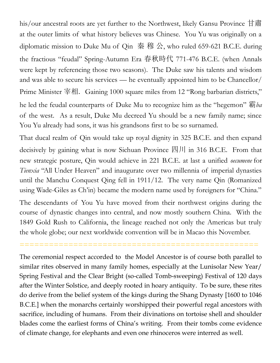his/our ancestral roots are yet further to the Northwest, likely Gansu Province 甘肅 at the outer limits of what history believes was Chinese. You Yu was originally on a diplomatic mission to Duke Mu of Qin 秦 穆 公, who ruled 659-621 B.C.E. during the fractious "feudal" Spring-Autumn Era 春秋時代 771-476 B.C.E. (when Annals were kept by referencing those two seasons). The Duke saw his talents and wisdom and was able to secure his services — he eventually appointed him to be Chancellor/ Prime Minister 宰相. Gaining 1000 square miles from 12 "Rong barbarian districts," he led the feudal counterparts of Duke Mu to recognize him as the "hegemon" 霸*ba*  of the west. As a result, Duke Mu decreed Yu should be a new family name; since You Yu already had sons, it was his grandsons first to be so surnamed.

That ducal realm of Qin would take up royal dignity in 325 B.C.E. and then expand decisively by gaining what is now Sichuan Province 四川 in 316 B.C.E. From that new strategic posture, Qin would achieve in 221 B.C.E. at last a unified *oecumene* for *Tienxia* "All Under Heaven" and inaugurate over two millennia of imperial dynasties until the Manchu Conquest Qing fell in 1911/12. The very name Qin (Romanized using Wade-Giles as Ch'in) became the modern name used by foreigners for "China."

The descendants of You Yu have moved from their northwest origins during the course of dynastic changes into central, and now mostly southern China. With the 1849 Gold Rush to California, the lineage reached not only the Americas but truly the whole globe; our next worldwide convention will be in Macao this November.

=================================================

The ceremonial respect accorded to the Model Ancestor is of course both parallel to similar rites observed in many family homes, especially at the Lunisolar New Year/ Spring Festival and the Clear Bright (so-called Tomb-sweeping) Festival of 120 days after the Winter Solstice, and deeply rooted in hoary antiquity. To be sure, these rites do derive from the belief system of the kings during the Shang Dynasty [1600 to 1046 B.C.E.] when the monarchs certainly worshipped their powerful regal ancestors with sacrifice, including of humans. From their divinations on tortoise shell and shoulder blades come the earliest forms of China's writing. From their tombs come evidence of climate change, for elephants and even one rhinoceros were interred as well.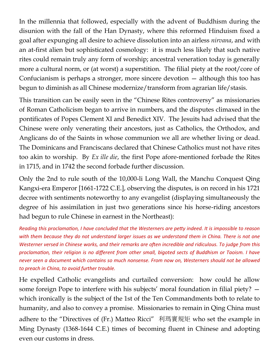In the millennia that followed, especially with the advent of Buddhism during the disunion with the fall of the Han Dynasty, where this reformed Hinduism fixed a goal after expunging all desire to achieve dissolution into an airless *nirvana*, and with an at-first alien but sophisticated cosmology: it is much less likely that such native rites could remain truly any form of worship; ancestral veneration today is generally more a cultural norm, or (at worst) a superstition. The filial piety at the root/core of Confucianism is perhaps a stronger, more sincere devotion — although this too has begun to diminish as all Chinese modernize/transform from agrarian life/stasis.

This transition can be easily seen in the "Chinese Rites controversy" as missionaries of Roman Catholicism began to arrive in numbers, and the disputes climaxed in the pontificates of Popes Clement XI and Benedict XIV. The Jesuits had advised that the Chinese were only venerating their ancestors, just as Catholics, the Orthodox, and Anglicans do of the Saints in whose communion we all are whether living or dead. The Dominicans and Franciscans declared that Chinese Catholics must not have rites too akin to worship. By *Ex ille die*, the first Pope afore-mentioned forbade the Rites in 1715, and in 1742 the second forbade further discussion.

Only the 2nd to rule south of the 10,000-li Long Wall, the Manchu Conquest Qing Kangxi-era Emperor [1661-1722 C.E.], observing the disputes, is on record in his 1721 decree with sentiments noteworthy to any evangelist (displaying simultaneously the degree of his assimilation in just two generations since his horse-riding ancestors had begun to rule Chinese in earnest in the Northeast):

*Reading this proclamation, I have concluded that the Westerners are petty indeed. It is impossible to reason with them because they do not understand larger issues as we understand them in China. There is not one Westerner versed in Chinese works, and their remarks are often incredible and ridiculous. To judge from this proclamation, their religion is no different from other small, bigoted sects of Buddhism or Taoism. I have never seen a document which contains so much nonsense. From now on, Westerners should not be allowed to preach in China, to avoid further trouble.* 

He expelled Catholic evangelists and curtailed conversion: how could he allow some foreign Pope to interfere with his subjects' moral foundation in filial piety? which ironically is the subject of the 1st of the Ten Commandments both to relate to humanity, and also to convey a promise. Missionaries to remain in Qing China must adhere to the "Directives of (Fr.) Matteo Ricci" 利瑪竇規矩 who set the example in Ming Dynasty (1368-1644 C.E.) times of becoming fluent in Chinese and adopting even our customs in dress.